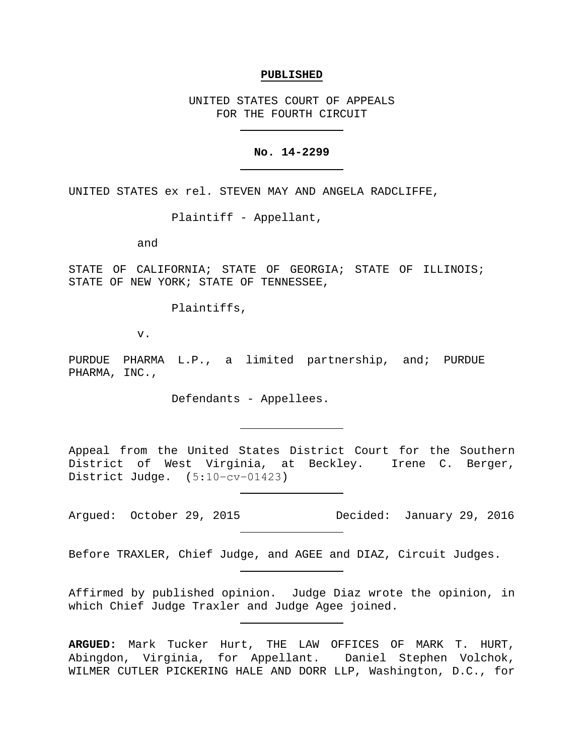#### **PUBLISHED**

UNITED STATES COURT OF APPEALS FOR THE FOURTH CIRCUIT

## **No. 14-2299**

UNITED STATES ex rel. STEVEN MAY AND ANGELA RADCLIFFE,

Plaintiff - Appellant,

and

STATE OF CALIFORNIA; STATE OF GEORGIA; STATE OF ILLINOIS; STATE OF NEW YORK; STATE OF TENNESSEE,

Plaintiffs,

v.

PURDUE PHARMA L.P., a limited partnership, and; PURDUE PHARMA, INC.,

Defendants - Appellees.

Appeal from the United States District Court for the Southern District of West Virginia, at Beckley. Irene C. Berger, District Judge. (5:10−cv−01423)

Argued: October 29, 2015 Decided: January 29, 2016

Before TRAXLER, Chief Judge, and AGEE and DIAZ, Circuit Judges.

Affirmed by published opinion. Judge Diaz wrote the opinion, in which Chief Judge Traxler and Judge Agee joined.

**ARGUED:** Mark Tucker Hurt, THE LAW OFFICES OF MARK T. HURT, Abingdon, Virginia, for Appellant. Daniel Stephen Volchok, WILMER CUTLER PICKERING HALE AND DORR LLP, Washington, D.C., for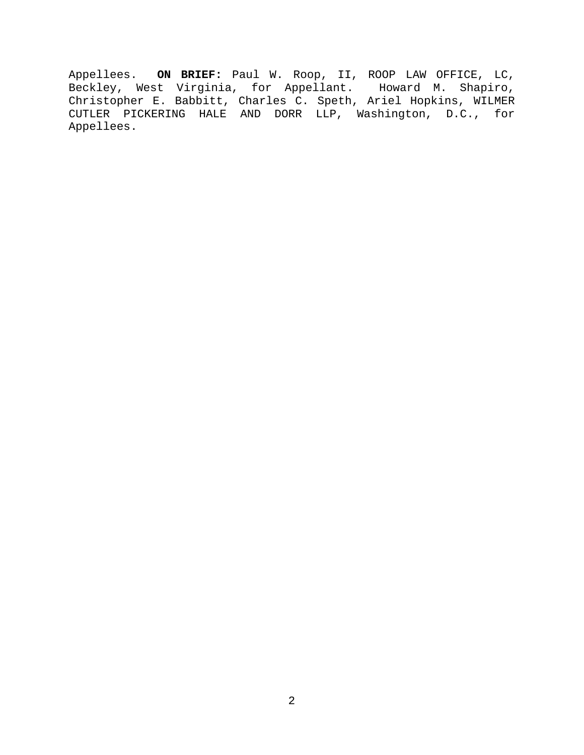Appellees. **ON BRIEF:** Paul W. Roop, II, ROOP LAW OFFICE, LC, Beckley, West Virginia, for Appellant. Howard M. Shapiro, Christopher E. Babbitt, Charles C. Speth, Ariel Hopkins, WILMER CUTLER PICKERING HALE AND DORR LLP, Washington, D.C., for Appellees.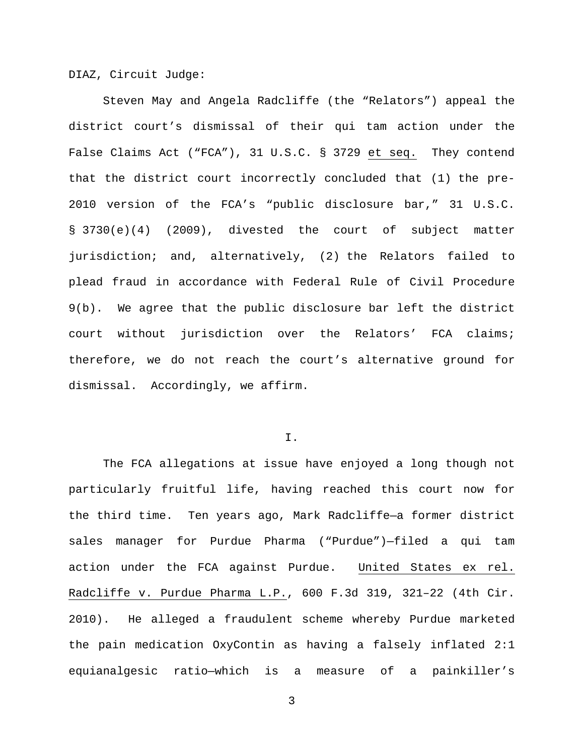DIAZ, Circuit Judge:

Steven May and Angela Radcliffe (the "Relators") appeal the district court's dismissal of their qui tam action under the False Claims Act ("FCA"), 31 U.S.C. § 3729 et seq. They contend that the district court incorrectly concluded that (1) the pre-2010 version of the FCA's "public disclosure bar," 31 U.S.C. § 3730(e)(4) (2009), divested the court of subject matter jurisdiction; and, alternatively, (2) the Relators failed to plead fraud in accordance with Federal Rule of Civil Procedure 9(b). We agree that the public disclosure bar left the district court without jurisdiction over the Relators' FCA claims; therefore, we do not reach the court's alternative ground for dismissal. Accordingly, we affirm.

I.

The FCA allegations at issue have enjoyed a long though not particularly fruitful life, having reached this court now for the third time. Ten years ago, Mark Radcliffe—a former district sales manager for Purdue Pharma ("Purdue")—filed a qui tam action under the FCA against Purdue. United States ex rel. Radcliffe v. Purdue Pharma L.P., 600 F.3d 319, 321–22 (4th Cir. 2010). He alleged a fraudulent scheme whereby Purdue marketed the pain medication OxyContin as having a falsely inflated 2:1 equianalgesic ratio—which is a measure of a painkiller's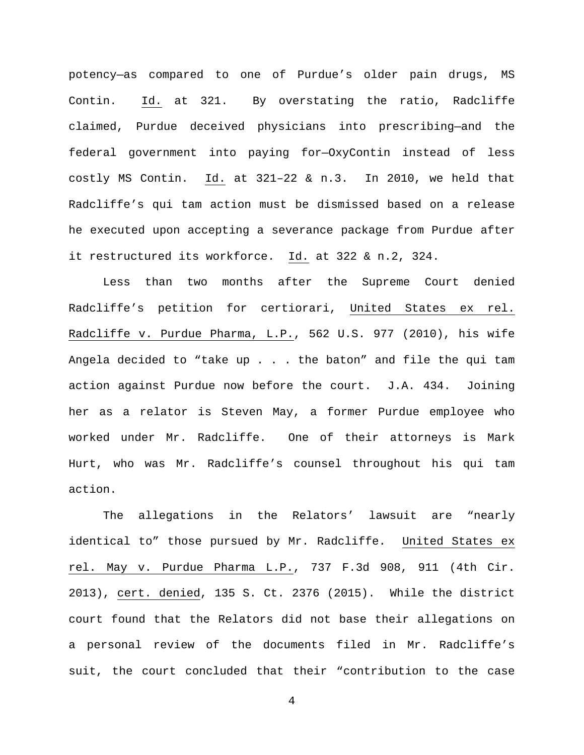potency—as compared to one of Purdue's older pain drugs, MS Contin. Id. at 321. By overstating the ratio, Radcliffe claimed, Purdue deceived physicians into prescribing—and the federal government into paying for—OxyContin instead of less costly MS Contin. Id. at 321–22 & n.3. In 2010, we held that Radcliffe's qui tam action must be dismissed based on a release he executed upon accepting a severance package from Purdue after it restructured its workforce. Id. at 322 & n.2, 324.

Less than two months after the Supreme Court denied Radcliffe's petition for certiorari, United States ex rel. Radcliffe v. Purdue Pharma, L.P., 562 U.S. 977 (2010), his wife Angela decided to "take up . . . the baton" and file the qui tam action against Purdue now before the court. J.A. 434. Joining her as a relator is Steven May, a former Purdue employee who worked under Mr. Radcliffe. One of their attorneys is Mark Hurt, who was Mr. Radcliffe's counsel throughout his qui tam action.

The allegations in the Relators' lawsuit are "nearly identical to" those pursued by Mr. Radcliffe. United States ex rel. May v. Purdue Pharma L.P., 737 F.3d 908, 911 (4th Cir. 2013), cert. denied, 135 S. Ct. 2376 (2015). While the district court found that the Relators did not base their allegations on a personal review of the documents filed in Mr. Radcliffe's suit, the court concluded that their "contribution to the case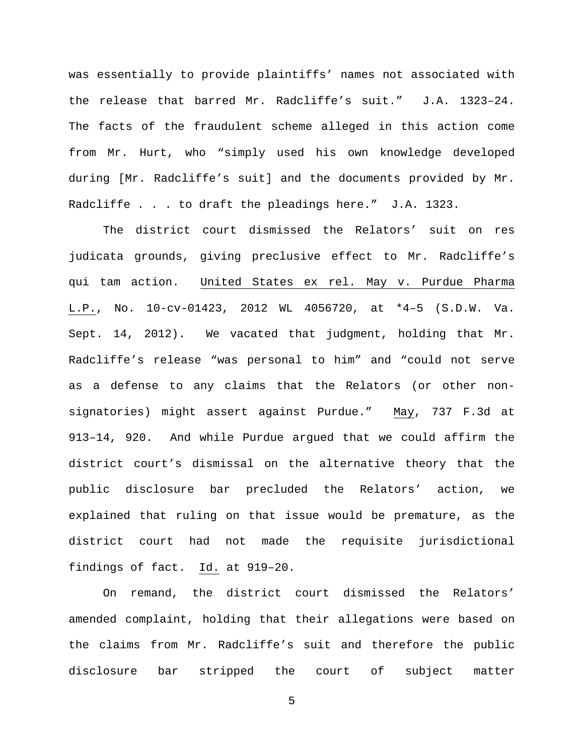was essentially to provide plaintiffs' names not associated with the release that barred Mr. Radcliffe's suit." J.A. 1323–24. The facts of the fraudulent scheme alleged in this action come from Mr. Hurt, who "simply used his own knowledge developed during [Mr. Radcliffe's suit] and the documents provided by Mr. Radcliffe . . . to draft the pleadings here." J.A. 1323.

The district court dismissed the Relators' suit on res judicata grounds, giving preclusive effect to Mr. Radcliffe's qui tam action. United States ex rel. May v. Purdue Pharma L.P., No. 10-cv-01423, 2012 WL 4056720, at \*4–5 (S.D.W. Va. Sept. 14, 2012). We vacated that judgment, holding that Mr. Radcliffe's release "was personal to him" and "could not serve as a defense to any claims that the Relators (or other nonsignatories) might assert against Purdue." May, 737 F.3d at 913–14, 920. And while Purdue argued that we could affirm the district court's dismissal on the alternative theory that the public disclosure bar precluded the Relators' action, we explained that ruling on that issue would be premature, as the district court had not made the requisite jurisdictional findings of fact. Id. at 919–20.

On remand, the district court dismissed the Relators' amended complaint, holding that their allegations were based on the claims from Mr. Radcliffe's suit and therefore the public disclosure bar stripped the court of subject matter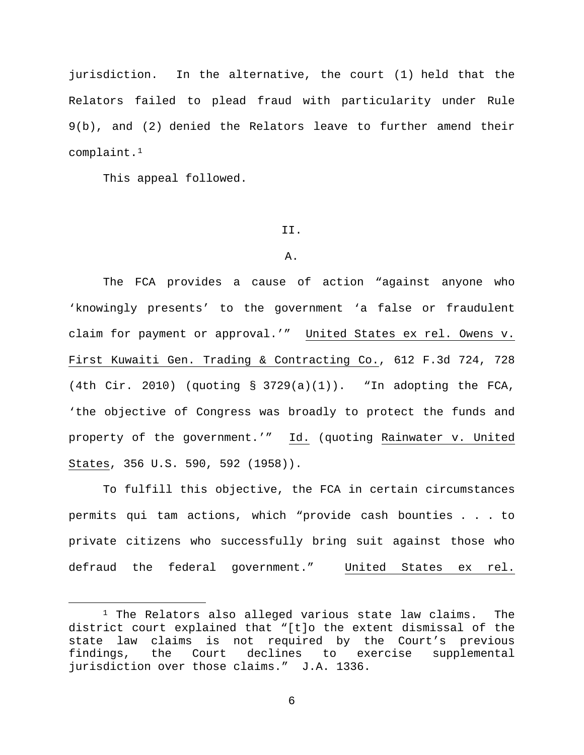jurisdiction. In the alternative, the court (1) held that the Relators failed to plead fraud with particularity under Rule 9(b), and (2) denied the Relators leave to further amend their complaint.[1](#page-5-0)

This appeal followed.

### II.

### A.

The FCA provides a cause of action "against anyone who 'knowingly presents' to the government 'a false or fraudulent claim for payment or approval.'" United States ex rel. Owens v. First Kuwaiti Gen. Trading & Contracting Co., 612 F.3d 724, 728 (4th Cir. 2010) (quoting  $\S$  3729(a)(1)). "In adopting the FCA, 'the objective of Congress was broadly to protect the funds and property of the government.'" Id. (quoting Rainwater v. United States, 356 U.S. 590, 592 (1958)).

To fulfill this objective, the FCA in certain circumstances permits qui tam actions, which "provide cash bounties . . . to private citizens who successfully bring suit against those who defraud the federal government." United States ex rel.

<span id="page-5-0"></span><sup>&</sup>lt;sup>1</sup> The Relators also alleged various state law claims. The district court explained that "[t]o the extent dismissal of the state law claims is not required by the Court's previous<br>findings, the Court declines to exercise supplemental findings, the Court declines to exercise supplemental jurisdiction over those claims." J.A. 1336.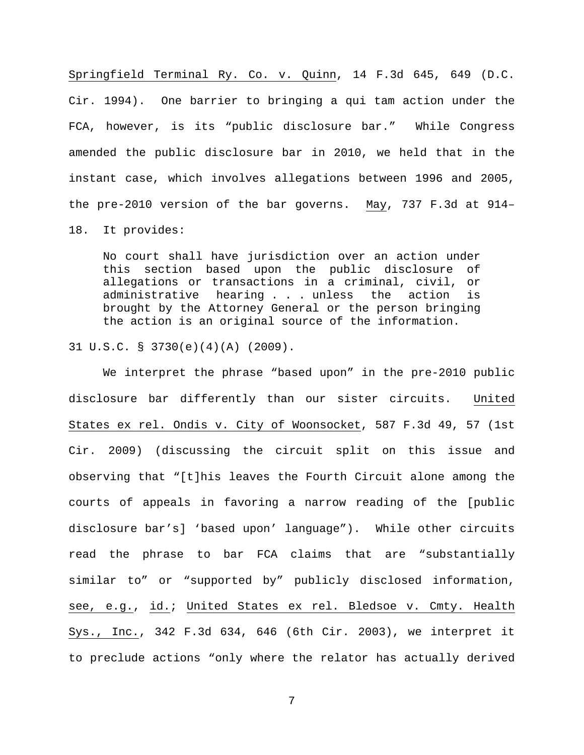Springfield Terminal Ry. Co. v. Quinn, 14 F.3d 645, 649 (D.C. Cir. 1994). One barrier to bringing a qui tam action under the FCA, however, is its "public disclosure bar." While Congress amended the public disclosure bar in 2010, we held that in the instant case, which involves allegations between 1996 and 2005, the pre-2010 version of the bar governs. May, 737 F.3d at 914–

18. It provides:

No court shall have jurisdiction over an action under this section based upon the public disclosure of allegations or transactions in a criminal, civil, or administrative hearing . . . unless the action is brought by the Attorney General or the person bringing the action is an original source of the information.

31 U.S.C. § 3730(e)(4)(A) (2009).

We interpret the phrase "based upon" in the pre-2010 public disclosure bar differently than our sister circuits. United States ex rel. Ondis v. City of Woonsocket, 587 F.3d 49, 57 (1st Cir. 2009) (discussing the circuit split on this issue and observing that "[t]his leaves the Fourth Circuit alone among the courts of appeals in favoring a narrow reading of the [public disclosure bar's] 'based upon' language"). While other circuits read the phrase to bar FCA claims that are "substantially similar to" or "supported by" publicly disclosed information, see, e.g., id.; United States ex rel. Bledsoe v. Cmty. Health Sys., Inc., 342 F.3d 634, 646 (6th Cir. 2003), we interpret it to preclude actions "only where the relator has actually derived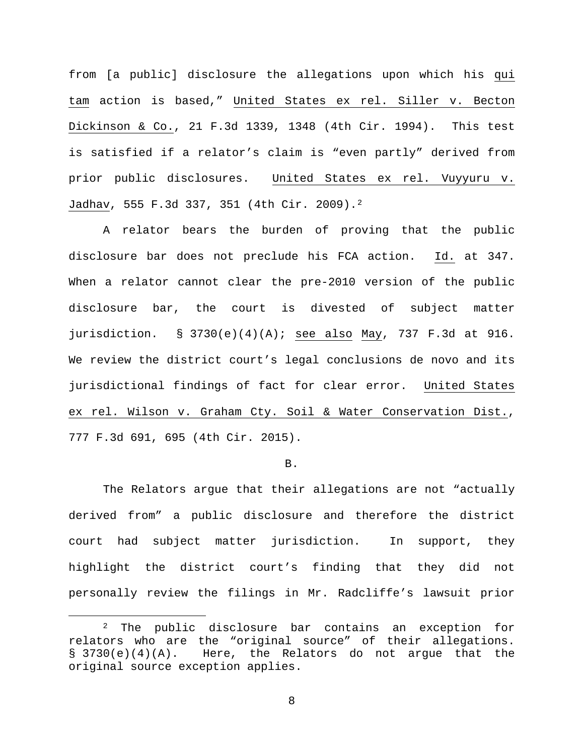from [a public] disclosure the allegations upon which his qui tam action is based," United States ex rel. Siller v. Becton Dickinson & Co., 21 F.3d 1339, 1348 (4th Cir. 1994). This test is satisfied if a relator's claim is "even partly" derived from prior public disclosures. United States ex rel. Vuyyuru v. Jadhav, 555 F.3d 337, 351 (4th Cir. 2009).[2](#page-7-0) 

A relator bears the burden of proving that the public disclosure bar does not preclude his FCA action. Id. at 347. When a relator cannot clear the pre-2010 version of the public disclosure bar, the court is divested of subject matter jurisdiction. § 3730(e)(4)(A); see also May, 737 F.3d at 916. We review the district court's legal conclusions de novo and its jurisdictional findings of fact for clear error. United States ex rel. Wilson v. Graham Cty. Soil & Water Conservation Dist., 777 F.3d 691, 695 (4th Cir. 2015).

### B.

The Relators argue that their allegations are not "actually derived from" a public disclosure and therefore the district court had subject matter jurisdiction. In support, they highlight the district court's finding that they did not personally review the filings in Mr. Radcliffe's lawsuit prior

<span id="page-7-0"></span><sup>&</sup>lt;sup>2</sup> The public disclosure bar contains an exception for relators who are the "original source" of their allegations. § 3730(e)(4)(A). Here, the Relators do not argue that the original source exception applies.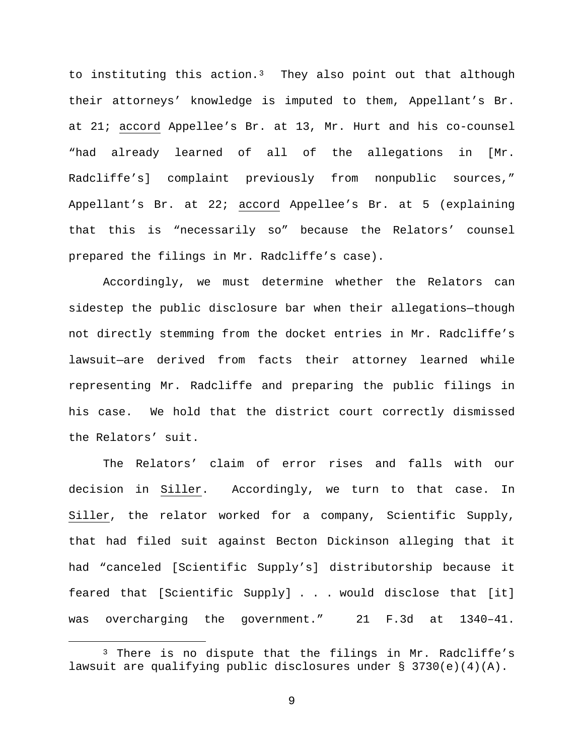to instituting this action. $3$  They also point out that although their attorneys' knowledge is imputed to them, Appellant's Br. at 21; accord Appellee's Br. at 13, Mr. Hurt and his co-counsel "had already learned of all of the allegations in [Mr. Radcliffe's] complaint previously from nonpublic sources," Appellant's Br. at 22; accord Appellee's Br. at 5 (explaining that this is "necessarily so" because the Relators' counsel prepared the filings in Mr. Radcliffe's case).

Accordingly, we must determine whether the Relators can sidestep the public disclosure bar when their allegations—though not directly stemming from the docket entries in Mr. Radcliffe's lawsuit—are derived from facts their attorney learned while representing Mr. Radcliffe and preparing the public filings in his case. We hold that the district court correctly dismissed the Relators' suit.

The Relators' claim of error rises and falls with our decision in Siller. Accordingly, we turn to that case. In Siller, the relator worked for a company, Scientific Supply, that had filed suit against Becton Dickinson alleging that it had "canceled [Scientific Supply's] distributorship because it feared that [Scientific Supply] . . . would disclose that [it] was overcharging the government." 21 F.3d at 1340–41.

<span id="page-8-0"></span><sup>&</sup>lt;sup>3</sup> There is no dispute that the filings in Mr. Radcliffe's lawsuit are qualifying public disclosures under  $\S$  3730(e)(4)(A).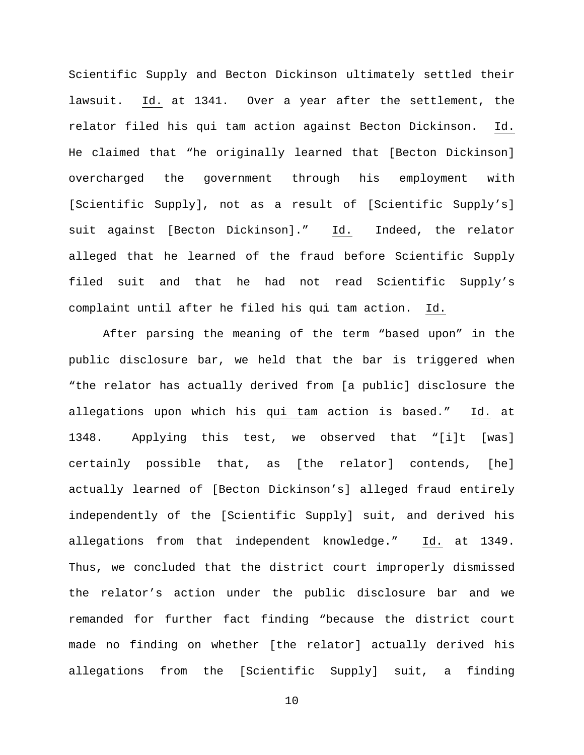Scientific Supply and Becton Dickinson ultimately settled their lawsuit. Id. at 1341. Over a year after the settlement, the relator filed his qui tam action against Becton Dickinson. Id. He claimed that "he originally learned that [Becton Dickinson] overcharged the government through his employment with [Scientific Supply], not as a result of [Scientific Supply's] suit against [Becton Dickinson]." Id. Indeed, the relator alleged that he learned of the fraud before Scientific Supply filed suit and that he had not read Scientific Supply's complaint until after he filed his qui tam action. Id.

After parsing the meaning of the term "based upon" in the public disclosure bar, we held that the bar is triggered when "the relator has actually derived from [a public] disclosure the allegations upon which his qui tam action is based." Id. at 1348. Applying this test, we observed that "[i]t [was] certainly possible that, as [the relator] contends, [he] actually learned of [Becton Dickinson's] alleged fraud entirely independently of the [Scientific Supply] suit, and derived his allegations from that independent knowledge." Id. at 1349. Thus, we concluded that the district court improperly dismissed the relator's action under the public disclosure bar and we remanded for further fact finding "because the district court made no finding on whether [the relator] actually derived his allegations from the [Scientific Supply] suit, a finding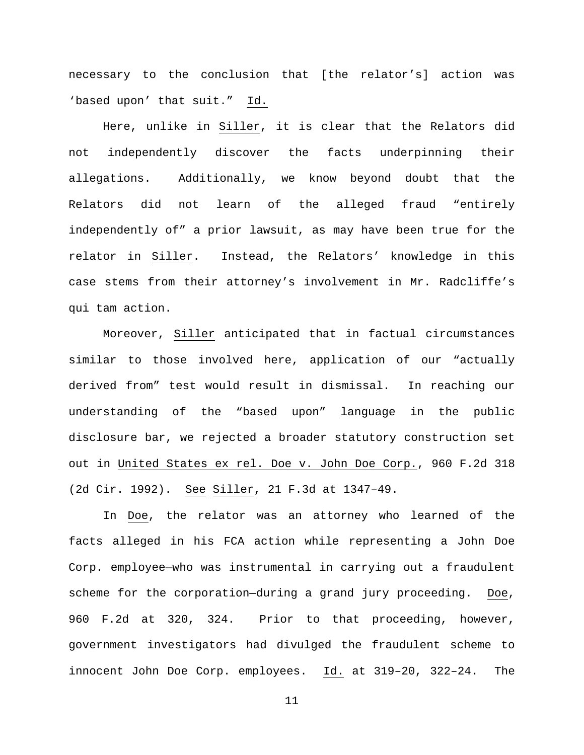necessary to the conclusion that [the relator's] action was 'based upon' that suit." Id.

Here, unlike in Siller, it is clear that the Relators did not independently discover the facts underpinning their allegations. Additionally, we know beyond doubt that the Relators did not learn of the alleged fraud "entirely independently of" a prior lawsuit, as may have been true for the relator in Siller. Instead, the Relators' knowledge in this case stems from their attorney's involvement in Mr. Radcliffe's qui tam action.

Moreover, Siller anticipated that in factual circumstances similar to those involved here, application of our "actually derived from" test would result in dismissal. In reaching our understanding of the "based upon" language in the public disclosure bar, we rejected a broader statutory construction set out in United States ex rel. Doe v. John Doe Corp., 960 F.2d 318 (2d Cir. 1992). See Siller, 21 F.3d at 1347–49.

In Doe, the relator was an attorney who learned of the facts alleged in his FCA action while representing a John Doe Corp. employee—who was instrumental in carrying out a fraudulent scheme for the corporation—during a grand jury proceeding. Doe, 960 F.2d at 320, 324. Prior to that proceeding, however, government investigators had divulged the fraudulent scheme to innocent John Doe Corp. employees. Id. at 319–20, 322–24. The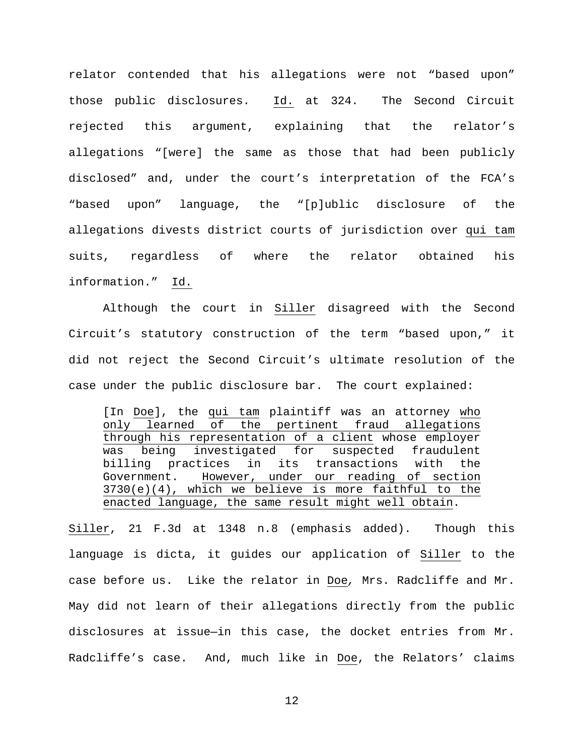relator contended that his allegations were not "based upon" those public disclosures. Id. at 324. The Second Circuit rejected this argument, explaining that the relator's allegations "[were] the same as those that had been publicly disclosed" and, under the court's interpretation of the FCA's "based upon" language, the "[p]ublic disclosure of the allegations divests district courts of jurisdiction over qui tam suits, regardless of where the relator obtained his information." Id.

Although the court in Siller disagreed with the Second Circuit's statutory construction of the term "based upon," it did not reject the Second Circuit's ultimate resolution of the case under the public disclosure bar. The court explained:

[In <u>Doe</u>], the qui tam plaintiff was an attorney who only learned of the pertinent fraud allegations through his representation of a client whose employer was being investigated for suspected fraudulent billing practices in its transactions with the Government. However, under our reading of section  $3730(e)(4)$ , which we believe is more faithful to the enacted language, the same result might well obtain.

Siller, 21 F.3d at 1348 n.8 (emphasis added). Though this language is dicta, it guides our application of Siller to the case before us. Like the relator in Doe*,* Mrs. Radcliffe and Mr. May did not learn of their allegations directly from the public disclosures at issue—in this case, the docket entries from Mr. Radcliffe's case. And, much like in Doe, the Relators' claims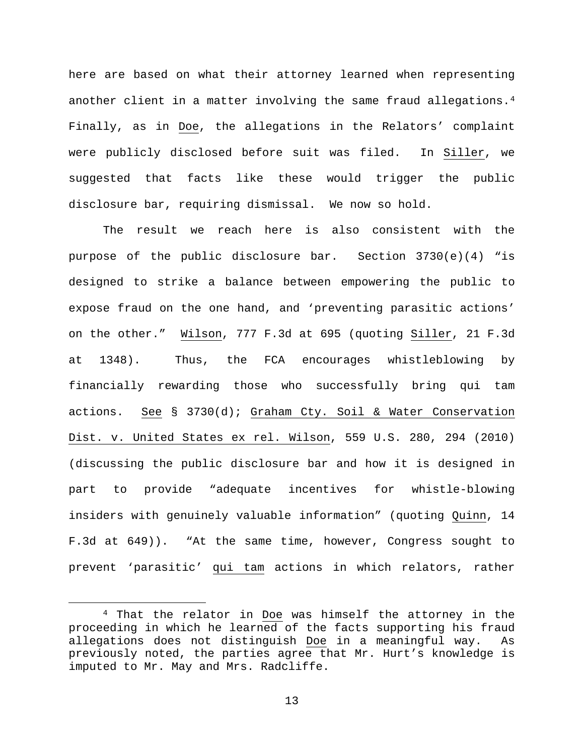here are based on what their attorney learned when representing another client in a matter involving the same fraud allegations.[4](#page-12-0) Finally, as in Doe, the allegations in the Relators' complaint were publicly disclosed before suit was filed. In Siller, we suggested that facts like these would trigger the public disclosure bar, requiring dismissal. We now so hold.

The result we reach here is also consistent with the purpose of the public disclosure bar. Section 3730(e)(4) "is designed to strike a balance between empowering the public to expose fraud on the one hand, and 'preventing parasitic actions' on the other." Wilson, 777 F.3d at 695 (quoting Siller, 21 F.3d at 1348). Thus, the FCA encourages whistleblowing by financially rewarding those who successfully bring qui tam actions. See § 3730(d); Graham Cty. Soil & Water Conservation Dist. v. United States ex rel. Wilson, 559 U.S. 280, 294 (2010) (discussing the public disclosure bar and how it is designed in part to provide "adequate incentives for whistle-blowing insiders with genuinely valuable information" (quoting Quinn, 14 F.3d at 649)). "At the same time, however, Congress sought to prevent 'parasitic' qui tam actions in which relators, rather

<span id="page-12-0"></span> <sup>4</sup> That the relator in Doe was himself the attorney in the proceeding in which he learned of the facts supporting his fraud allegations does not distinguish Doe in a meaningful way. As previously noted, the parties agree that Mr. Hurt's knowledge is imputed to Mr. May and Mrs. Radcliffe.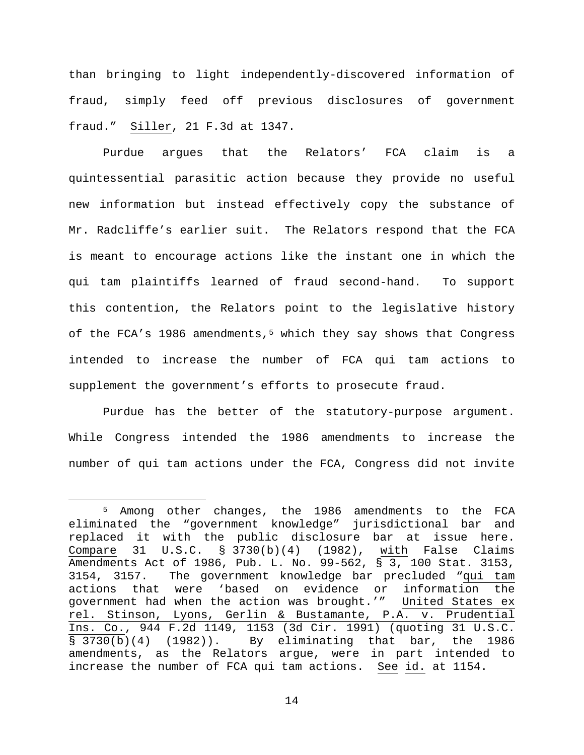than bringing to light independently-discovered information of fraud, simply feed off previous disclosures of government fraud." Siller, 21 F.3d at 1347.

Purdue argues that the Relators' FCA claim is a quintessential parasitic action because they provide no useful new information but instead effectively copy the substance of Mr. Radcliffe's earlier suit. The Relators respond that the FCA is meant to encourage actions like the instant one in which the qui tam plaintiffs learned of fraud second-hand. To support this contention, the Relators point to the legislative history of the FCA's 1986 amendments,<sup>[5](#page-13-0)</sup> which they say shows that Congress intended to increase the number of FCA qui tam actions to supplement the government's efforts to prosecute fraud.

Purdue has the better of the statutory-purpose argument. While Congress intended the 1986 amendments to increase the number of qui tam actions under the FCA, Congress did not invite

<span id="page-13-0"></span> <sup>5</sup> Among other changes, the 1986 amendments to the FCA eliminated the "government knowledge" jurisdictional bar and replaced it with the public disclosure bar at issue here.<br>Compare 31 U.S.C. § 3730(b)(4) (1982), with False Claims 31 U.S.C. § 3730(b)(4) (1982), with False Claims Amendments Act of 1986, Pub. L. No. 99-562, § 3, 100 Stat. 3153, 3154, 3157. The government knowledge bar precluded "qui tam actions that were 'based on evidence or information the government had when the action was brought.'" <u>United States ex</u> . rel. Stinson, Lyons, Gerlin & Bustamante, P.A. v. Prudential Ins. Co., 944 F.2d 1149, 1153 (3d Cir. 1991) (quoting 31 U.S.C. § 3730(b)(4) (1982)). By eliminating that bar, the 1986 amendments, as the Relators argue, were in part intended to increase the number of FCA qui tam actions. See id. at 1154.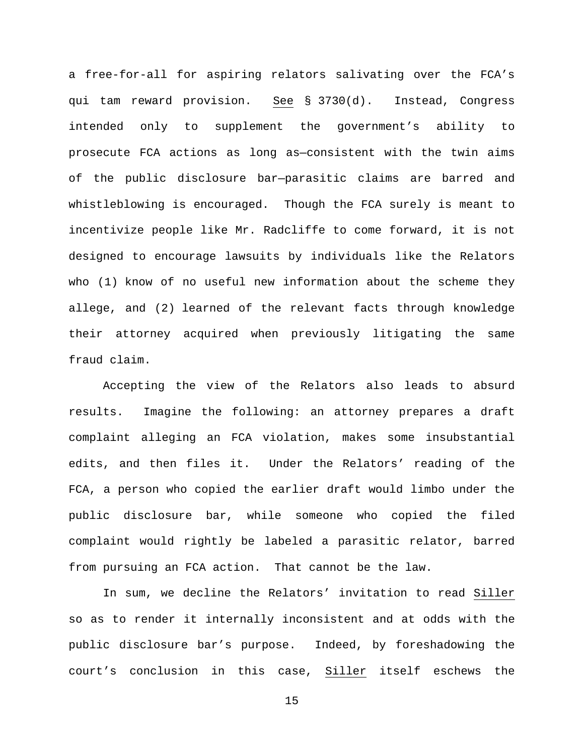a free-for-all for aspiring relators salivating over the FCA's qui tam reward provision. See § 3730(d). Instead, Congress intended only to supplement the government's ability to prosecute FCA actions as long as—consistent with the twin aims of the public disclosure bar—parasitic claims are barred and whistleblowing is encouraged. Though the FCA surely is meant to incentivize people like Mr. Radcliffe to come forward, it is not designed to encourage lawsuits by individuals like the Relators who (1) know of no useful new information about the scheme they allege, and (2) learned of the relevant facts through knowledge their attorney acquired when previously litigating the same fraud claim.

Accepting the view of the Relators also leads to absurd results. Imagine the following: an attorney prepares a draft complaint alleging an FCA violation, makes some insubstantial edits, and then files it. Under the Relators' reading of the FCA, a person who copied the earlier draft would limbo under the public disclosure bar, while someone who copied the filed complaint would rightly be labeled a parasitic relator, barred from pursuing an FCA action. That cannot be the law.

In sum, we decline the Relators' invitation to read Siller so as to render it internally inconsistent and at odds with the public disclosure bar's purpose. Indeed, by foreshadowing the court's conclusion in this case, Siller itself eschews the